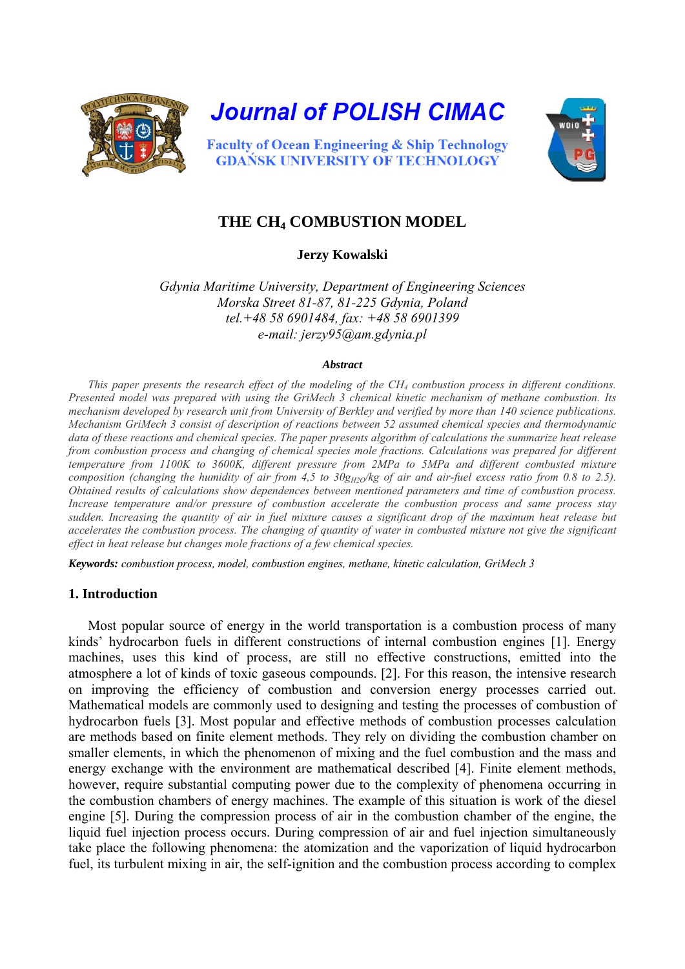

**Journal of POLISH CIMAC** 



**Faculty of Ocean Engineering & Ship Technology GDAŃSK UNIVERSITY OF TECHNOLOGY** 

# **THE CH4 COMBUSTION MODEL**

**Jerzy Kowalski** 

*Gdynia Maritime University, Department of Engineering Sciences Morska Street 81-87, 81-225 Gdynia, Poland tel.+48 58 6901484, fax: +48 58 6901399 e-mail: jerzy95@am.gdynia.pl* 

#### *Abstract*

*This paper presents the research effect of the modeling of the CH<sub>4</sub> combustion process in different conditions. Presented model was prepared with using the GriMech 3 chemical kinetic mechanism of methane combustion. Its mechanism developed by research unit from University of Berkley and verified by more than 140 science publications. Mechanism GriMech 3 consist of description of reactions between 52 assumed chemical species and thermodynamic data of these reactions and chemical species. The paper presents algorithm of calculations the summarize heat release from combustion process and changing of chemical species mole fractions. Calculations was prepared for different temperature from 1100K to 3600K, different pressure from 2MPa to 5MPa and different combusted mixture composition (changing the humidity of air from 4,5 to*  $30g_{H2O}/kg$  *of air and air-fuel excess ratio from 0.8 to 2.5). Obtained results of calculations show dependences between mentioned parameters and time of combustion process. Increase temperature and/or pressure of combustion accelerate the combustion process and same process stay sudden. Increasing the quantity of air in fuel mixture causes a significant drop of the maximum heat release but accelerates the combustion process. The changing of quantity of water in combusted mixture not give the significant effect in heat release but changes mole fractions of a few chemical species.* 

*Keywords: combustion process, model, combustion engines, methane, kinetic calculation, GriMech 3* 

### **1. Introduction**

Most popular source of energy in the world transportation is a combustion process of many kinds' hydrocarbon fuels in different constructions of internal combustion engines [\[1\].](#page-7-0) Energy machines, uses this kind of process, are still no effective constructions, emitted into the atmosphere a lot of kinds of toxic gaseous compounds. [\[2\]](#page-7-1). For this reason, the intensive research on improving the efficiency of combustion and conversion energy processes carried out. Mathematical models are commonly used to designing and testing the processes of combustion of hydrocarbon fuels [\[3\]](#page-7-2). Most popular and effective methods of combustion processes calculation are methods based on finite element methods. They rely on dividing the combustion chamber on smaller elements, in which the phenomenon of mixing and the fuel combustion and the mass and energy exchange with the environment are mathematical described [\[4\].](#page-7-3) Finite element methods, however, require substantial computing power due to the complexity of phenomena occurring in the combustion chambers of energy machines. The example of this situation is work of the diesel engine [\[5\].](#page-7-4) During the compression process of air in the combustion chamber of the engine, the liquid fuel injection process occurs. During compression of air and fuel injection simultaneously take place the following phenomena: the atomization and the vaporization of liquid hydrocarbon fuel, its turbulent mixing in air, the self-ignition and the combustion process according to complex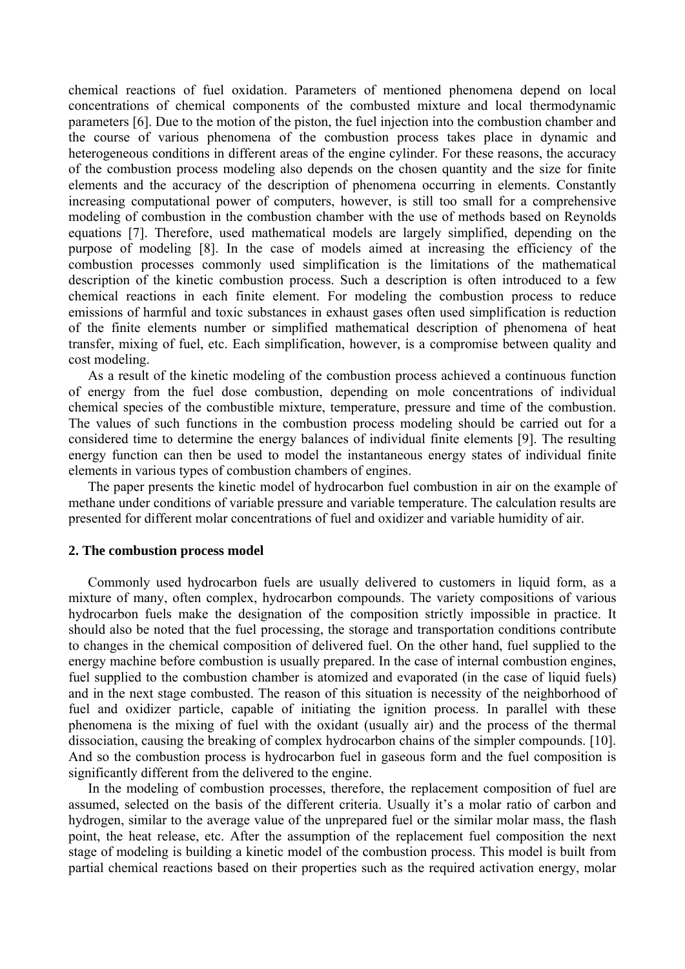chemical reactions of fuel oxidation. Parameters of mentioned phenomena depend on local concentrations of chemical components of the combusted mixture and local thermodynamic parameters [\[6\]](#page-7-5). Due to the motion of the piston, the fuel injection into the combustion chamber and the course of various phenomena of the combustion process takes place in dynamic and heterogeneous conditions in different areas of the engine cylinder. For these reasons, the accuracy of the combustion process modeling also depends on the chosen quantity and the size for finite elements and the accuracy of the description of phenomena occurring in elements. Constantly increasing computational power of computers, however, is still too small for a comprehensive modeling of combustion in the combustion chamber with the use of methods based on Reynolds equations [\[7\].](#page-7-6) Therefore, used mathematical models are largely simplified, depending on the purpose of modeling [\[8\]](#page-7-7). In the case of models aimed at increasing the efficiency of the combustion processes commonly used simplification is the limitations of the mathematical description of the kinetic combustion process. Such a description is often introduced to a few chemical reactions in each finite element. For modeling the combustion process to reduce emissions of harmful and toxic substances in exhaust gases often used simplification is reduction of the finite elements number or simplified mathematical description of phenomena of heat transfer, mixing of fuel, etc. Each simplification, however, is a compromise between quality and cost modeling.

As a result of the kinetic modeling of the combustion process achieved a continuous function of energy from the fuel dose combustion, depending on mole concentrations of individual chemical species of the combustible mixture, temperature, pressure and time of the combustion. The values of such functions in the combustion process modeling should be carried out for a considered time to determine the energy balances of individual finite elements [\[9\].](#page-7-8) The resulting energy function can then be used to model the instantaneous energy states of individual finite elements in various types of combustion chambers of engines.

The paper presents the kinetic model of hydrocarbon fuel combustion in air on the example of methane under conditions of variable pressure and variable temperature. The calculation results are presented for different molar concentrations of fuel and oxidizer and variable humidity of air.

#### **2. The combustion process model**

Commonly used hydrocarbon fuels are usually delivered to customers in liquid form, as a mixture of many, often complex, hydrocarbon compounds. The variety compositions of various hydrocarbon fuels make the designation of the composition strictly impossible in practice. It should also be noted that the fuel processing, the storage and transportation conditions contribute to changes in the chemical composition of delivered fuel. On the other hand, fuel supplied to the energy machine before combustion is usually prepared. In the case of internal combustion engines, fuel supplied to the combustion chamber is atomized and evaporated (in the case of liquid fuels) and in the next stage combusted. The reason of this situation is necessity of the neighborhood of fuel and oxidizer particle, capable of initiating the ignition process. In parallel with these phenomena is the mixing of fuel with the oxidant (usually air) and the process of the thermal dissociation, causing the breaking of complex hydrocarbon chains of the simpler compounds. [\[10\].](#page-7-9) And so the combustion process is hydrocarbon fuel in gaseous form and the fuel composition is significantly different from the delivered to the engine.

In the modeling of combustion processes, therefore, the replacement composition of fuel are assumed, selected on the basis of the different criteria. Usually it's a molar ratio of carbon and hydrogen, similar to the average value of the unprepared fuel or the similar molar mass, the flash point, the heat release, etc. After the assumption of the replacement fuel composition the next stage of modeling is building a kinetic model of the combustion process. This model is built from partial chemical reactions based on their properties such as the required activation energy, molar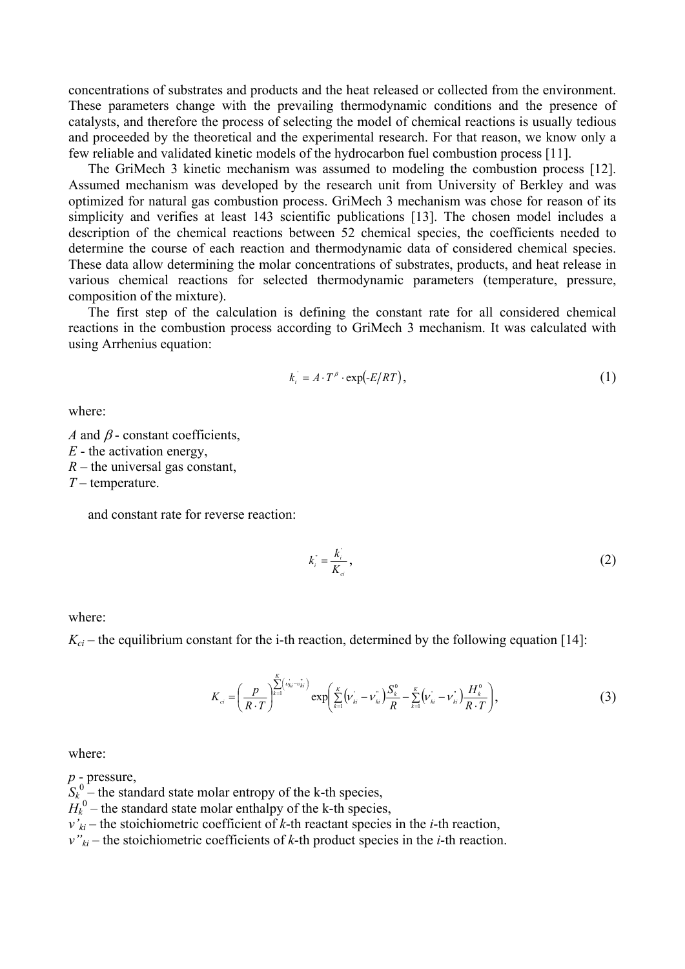concentrations of substrates and products and the heat released or collected from the environment. These parameters change with the prevailing thermodynamic conditions and the presence of catalysts, and therefore the process of selecting the model of chemical reactions is usually tedious and proceeded by the theoretical and the experimental research. For that reason, we know only a few reliable and validated kinetic models of the hydrocarbon fuel combustion process [\[11\]](#page-7-10).

The GriMech 3 kinetic mechanism was assumed to modeling the combustion process [\[12\].](#page-7-11) Assumed mechanism was developed by the research unit from University of Berkley and was optimized for natural gas combustion process. GriMech 3 mechanism was chose for reason of its simplicity and verifies at least 143 scientific publications [\[13\]](#page-7-12). The chosen model includes a description of the chemical reactions between 52 chemical species, the coefficients needed to determine the course of each reaction and thermodynamic data of considered chemical species. These data allow determining the molar concentrations of substrates, products, and heat release in various chemical reactions for selected thermodynamic parameters (temperature, pressure, composition of the mixture).

The first step of the calculation is defining the constant rate for all considered chemical reactions in the combustion process according to GriMech 3 mechanism. It was calculated with using Arrhenius equation:

$$
k_i = A \cdot T^{\beta} \cdot \exp(\text{-}E/RT), \tag{1}
$$

where:

*A* and  $\beta$  - constant coefficients, *E* - the activation energy, *R* – the universal gas constant, *T –* temperature.

and constant rate for reverse reaction:

$$
k_i^{\dagger} = \frac{k_i^{\dagger}}{K_{ci}}\,,\tag{2}
$$

where:

 $K_{ci}$  – the equilibrium constant for the i-th reaction, determined by the following equation [\[14\]:](#page-7-13)

$$
K_{ci} = \left(\frac{p}{R \cdot T}\right)^{\sum_{k=1}^{K} \left(\nu_{ki}^{i} - \nu_{ki}^{i}\right)} \exp\left(\sum_{k=1}^{K} \left(\nu_{ki}^{i} - \nu_{ki}^{i}\right) \frac{S_{k}^{0}}{R} - \sum_{k=1}^{K} \left(\nu_{ki}^{i} - \nu_{ki}^{i}\right) \frac{H_{k}^{0}}{R \cdot T}\right),\tag{3}
$$

where:

*p* - pressure,

 $S_k^0$  – the standard state molar entropy of the k-th species,

 $H_k^0$  – the standard state molar enthalpy of the k-th species,

 $v'_{ki}$  – the stoichiometric coefficient of *k*-th reactant species in the *i*-th reaction,

 $v''_{ki}$  – the stoichiometric coefficients of *k*-th product species in the *i*-th reaction.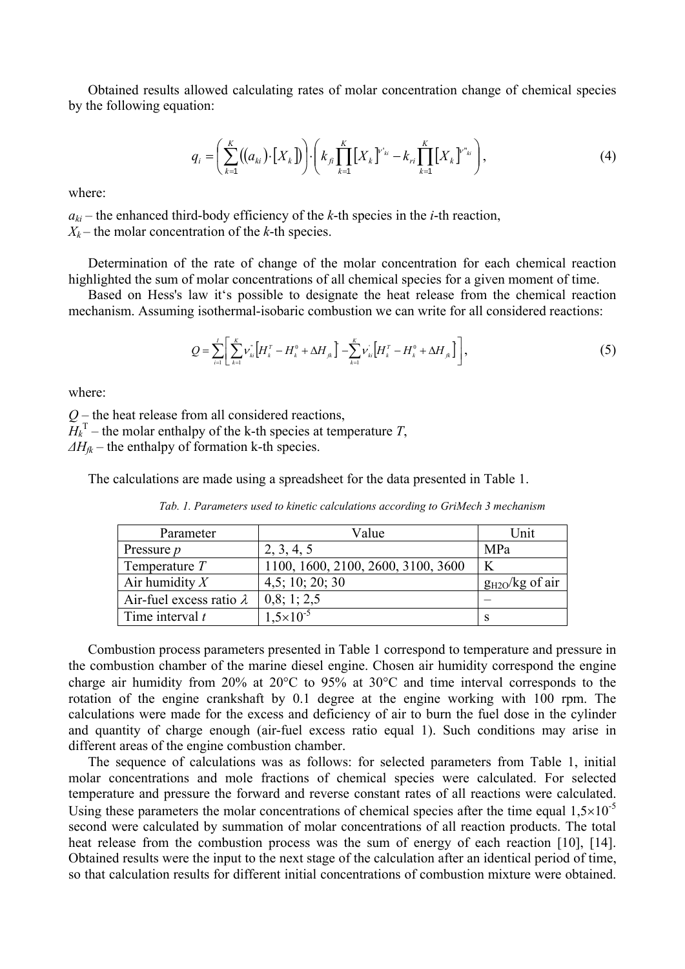Obtained results allowed calculating rates of molar concentration change of chemical species by the following equation:

$$
q_{i} = \left(\sum_{k=1}^{K} ((a_{ki}) \cdot [X_{k}])\right) \cdot \left(k_{fi} \prod_{k=1}^{K} [X_{k}]^{v'_{ki}} - k_{ri} \prod_{k=1}^{K} [X_{k}]^{v''_{ki}}\right),
$$
(4)

where:

 $a_{ki}$  – the enhanced third-body efficiency of the *k*-th species in the *i*-th reaction,  $X_k$  – the molar concentration of the *k*-th species.

Determination of the rate of change of the molar concentration for each chemical reaction highlighted the sum of molar concentrations of all chemical species for a given moment of time.

Based on Hess's law it's possible to designate the heat release from the chemical reaction mechanism. Assuming isothermal-isobaric combustion we can write for all considered reactions:

$$
Q = \sum_{i=1}^{I} \left[ \sum_{k=1}^{K} \nu_{ki}^{\dagger} \left[ H_{k}^{T} - H_{k}^{0} + \Delta H_{jk} \right] - \sum_{k=1}^{K} \nu_{ki}^{\dagger} \left[ H_{k}^{T} - H_{k}^{0} + \Delta H_{jk} \right] \right],
$$
(5)

where:

*Q –* the heat release from all considered reactions,  $\widetilde{H}_k^{\mathrm{T}}$  – the molar enthalpy of the k-th species at temperature *T*,  $\Delta H_{ik}$  – the enthalpy of formation k-th species.

The calculations are made using a spreadsheet for the data presented in Table 1.

| Parameter                       | Value                              | Jnit                |
|---------------------------------|------------------------------------|---------------------|
| Pressure <i>p</i>               | 2, 3, 4, 5                         | MPa                 |
| Temperature $T$                 | 1100, 1600, 2100, 2600, 3100, 3600 |                     |
| Air humidity $X$                | 4,5; 10; 20; 30                    | $g_{H2O}/kg$ of air |
| Air-fuel excess ratio $\lambda$ | 0,8; 1; 2,5                        |                     |
| Time interval $t$               | $1.5 \times 10^{-5}$               |                     |

*Tab. 1. Parameters used to kinetic calculations according to GriMech 3 mechanism* 

Combustion process parameters presented in Table 1 correspond to temperature and pressure in the combustion chamber of the marine diesel engine. Chosen air humidity correspond the engine charge air humidity from 20% at 20°C to 95% at 30°C and time interval corresponds to the rotation of the engine crankshaft by 0.1 degree at the engine working with 100 rpm. The calculations were made for the excess and deficiency of air to burn the fuel dose in the cylinder and quantity of charge enough (air-fuel excess ratio equal 1). Such conditions may arise in different areas of the engine combustion chamber.

The sequence of calculations was as follows: for selected parameters from Table 1, initial molar concentrations and mole fractions of chemical species were calculated. For selected temperature and pressure the forward and reverse constant rates of all reactions were calculated. Using these parameters the molar concentrations of chemical species after the time equal  $1,5\times10^{-5}$ second were calculated by summation of molar concentrations of all reaction products. The total heat release from the combustion process was the sum of energy of each reaction [\[10\]](#page-7-9), [\[14\].](#page-7-13) Obtained results were the input to the next stage of the calculation after an identical period of time, so that calculation results for different initial concentrations of combustion mixture were obtained.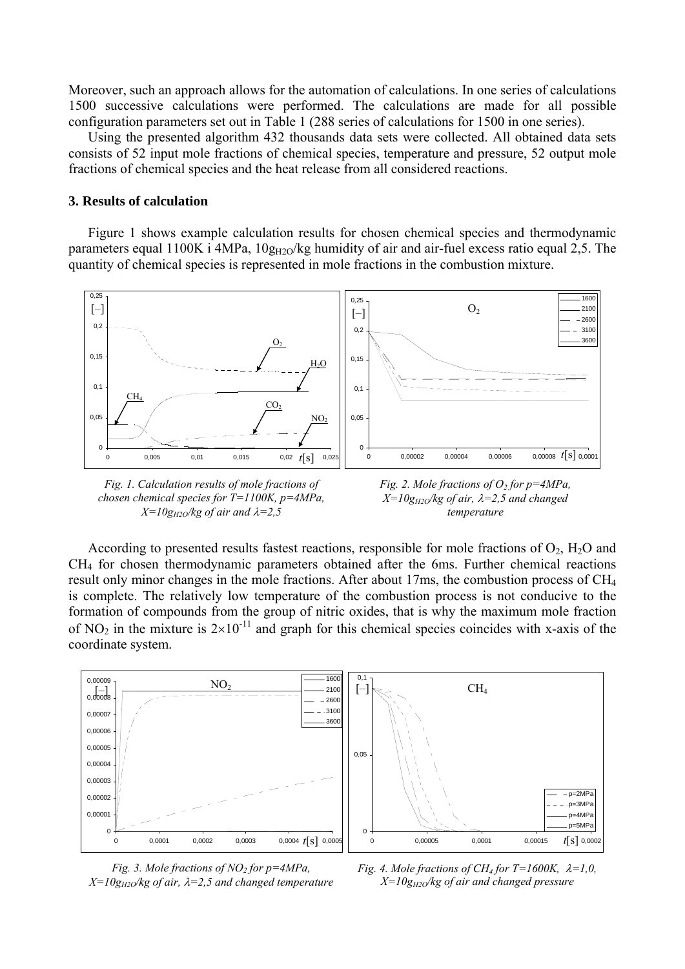Moreover, such an approach allows for the automation of calculations. In one series of calculations 1500 successive calculations were performed. The calculations are made for all possible configuration parameters set out in Table 1 (288 series of calculations for 1500 in one series).

Using the presented algorithm 432 thousands data sets were collected. All obtained data sets consists of 52 input mole fractions of chemical species, temperature and pressure, 52 output mole fractions of chemical species and the heat release from all considered reactions.

## **3. Results of calculation**

Figure 1 shows example calculation results for chosen chemical species and thermodynamic parameters equal 1100K i 4MPa,  $10g_{H2O}/kg$  humidity of air and air-fuel excess ratio equal 2,5. The quantity of chemical species is represented in mole fractions in the combustion mixture.



*Fig. 1. Calculation results of mole fractions of chosen chemical species for T=1100K, p=4MPa,*   $X=10g_{H2O}/kg$  of air and  $\lambda=2.5$ 



According to presented results fastest reactions, responsible for mole fractions of  $O_2$ ,  $H_2O$  and CH4 for chosen thermodynamic parameters obtained after the 6ms. Further chemical reactions result only minor changes in the mole fractions. After about 17ms, the combustion process of CH4 is complete. The relatively low temperature of the combustion process is not conducive to the formation of compounds from the group of nitric oxides, that is why the maximum mole fraction of NO<sub>2</sub> in the mixture is  $2\times10^{-11}$  and graph for this chemical species coincides with x-axis of the coordinate system.



*Fig. 3. Mole fractions of NO<sub>2</sub> for p=4MPa,*  $X=10g_{H2O}/kg$  of air,  $\lambda=2.5$  and changed temperature

*Fig. 4. Mole fractions of CH<sub>4</sub> for T=1600K,*  $\lambda$ *=1,0, X=10gH2O/kg of air and changed pressure*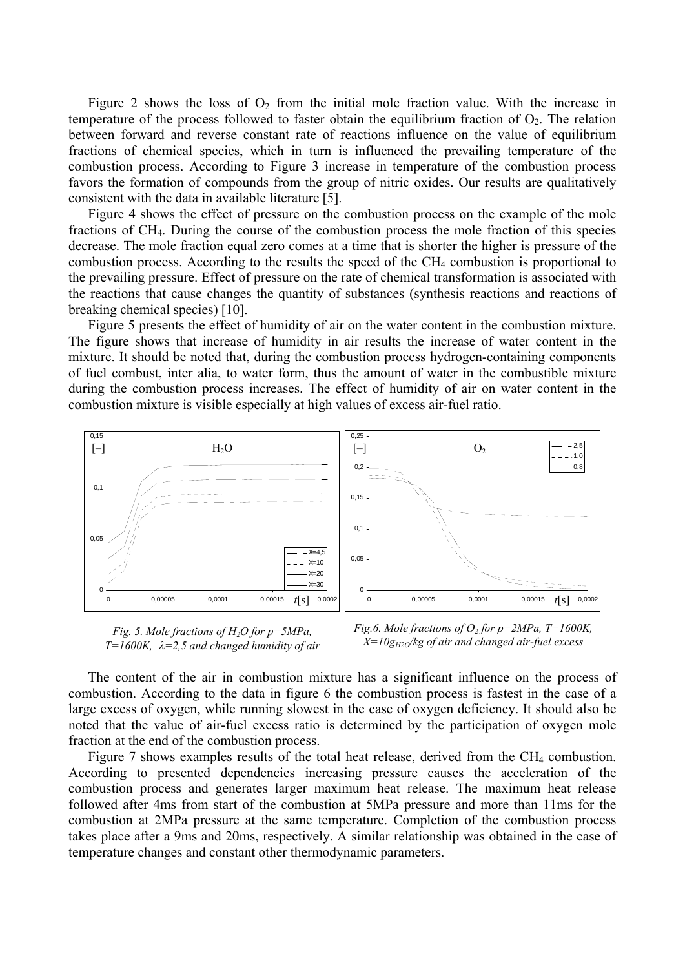Figure 2 shows the loss of  $O_2$  from the initial mole fraction value. With the increase in temperature of the process followed to faster obtain the equilibrium fraction of  $O_2$ . The relation between forward and reverse constant rate of reactions influence on the value of equilibrium fractions of chemical species, which in turn is influenced the prevailing temperature of the combustion process. According to Figure 3 increase in temperature of the combustion process favors the formation of compounds from the group of nitric oxides. Our results are qualitatively consistent with the data in available literature [\[5\]](#page-7-4).

Figure 4 shows the effect of pressure on the combustion process on the example of the mole fractions of CH4. During the course of the combustion process the mole fraction of this species decrease. The mole fraction equal zero comes at a time that is shorter the higher is pressure of the combustion process. According to the results the speed of the  $CH<sub>4</sub>$  combustion is proportional to the prevailing pressure. Effect of pressure on the rate of chemical transformation is associated with the reactions that cause changes the quantity of substances (synthesis reactions and reactions of breaking chemical species) [\[10\]](#page-7-9).

Figure 5 presents the effect of humidity of air on the water content in the combustion mixture. The figure shows that increase of humidity in air results the increase of water content in the mixture. It should be noted that, during the combustion process hydrogen-containing components of fuel combust, inter alia, to water form, thus the amount of water in the combustible mixture during the combustion process increases. The effect of humidity of air on water content in the combustion mixture is visible especially at high values of excess air-fuel ratio.



*Fig. 5. Mole fractions of H2O for p=5MPa, T=1600K,* λ*=2,5 and changed humidity of air* 

*Fig.6. Mole fractions of*  $O_2$  *for p=2MPa, T=1600K, X=10gH2O/kg of air and changed air-fuel excess* 

The content of the air in combustion mixture has a significant influence on the process of combustion. According to the data in figure 6 the combustion process is fastest in the case of a large excess of oxygen, while running slowest in the case of oxygen deficiency. It should also be noted that the value of air-fuel excess ratio is determined by the participation of oxygen mole fraction at the end of the combustion process.

Figure 7 shows examples results of the total heat release, derived from the CH<sub>4</sub> combustion. According to presented dependencies increasing pressure causes the acceleration of the combustion process and generates larger maximum heat release. The maximum heat release followed after 4ms from start of the combustion at 5MPa pressure and more than 11ms for the combustion at 2MPa pressure at the same temperature. Completion of the combustion process takes place after a 9ms and 20ms, respectively. A similar relationship was obtained in the case of temperature changes and constant other thermodynamic parameters.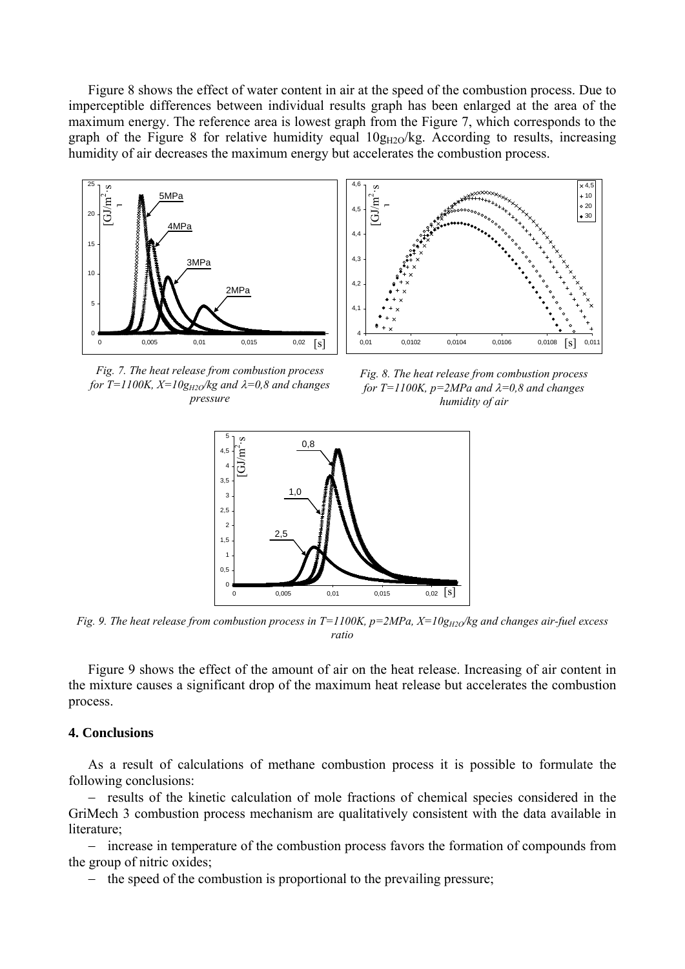Figure 8 shows the effect of water content in air at the speed of the combustion process. Due to imperceptible differences between individual results graph has been enlarged at the area of the maximum energy. The reference area is lowest graph from the Figure 7, which corresponds to the graph of the Figure 8 for relative humidity equal  $10g_{H2O}/kg$ . According to results, increasing humidity of air decreases the maximum energy but accelerates the combustion process.





*Fig. 7. The heat release from combustion process for T*=1100K,  $X=10g_{H2O}/kg$  and  $\lambda=0.8$  and changes *ressure*

*Fig. 8. The heat release from combustion process for T=1100K, p=2MPa and* λ*=0,8 and changes*  pressure *humidit humidit humidity of air* 



*Fig. 9. The heat release from combustion process in T=1100K, p=2MPa, X=10g<sub>H2O</sub>/kg and changes air-fuel excess ratio* 

Figure 9 shows the effect of the amount of air on the heat release. Increasing of air content in the mixture causes a significant drop of the maximum heat release but accelerates the combustion process.

## **4. Conclusions**

As a result of calculations of methane combustion process it is possible to formulate the following conclusions:

− results of the kinetic calculation of mole fractions of chemical species considered in the GriMech 3 combustion process mechanism are qualitatively consistent with the data available in literature<sup>.</sup>

− increase in temperature of the combustion process favors the formation of compounds from the group of nitric oxides;

− the speed of the combustion is proportional to the prevailing pressure;